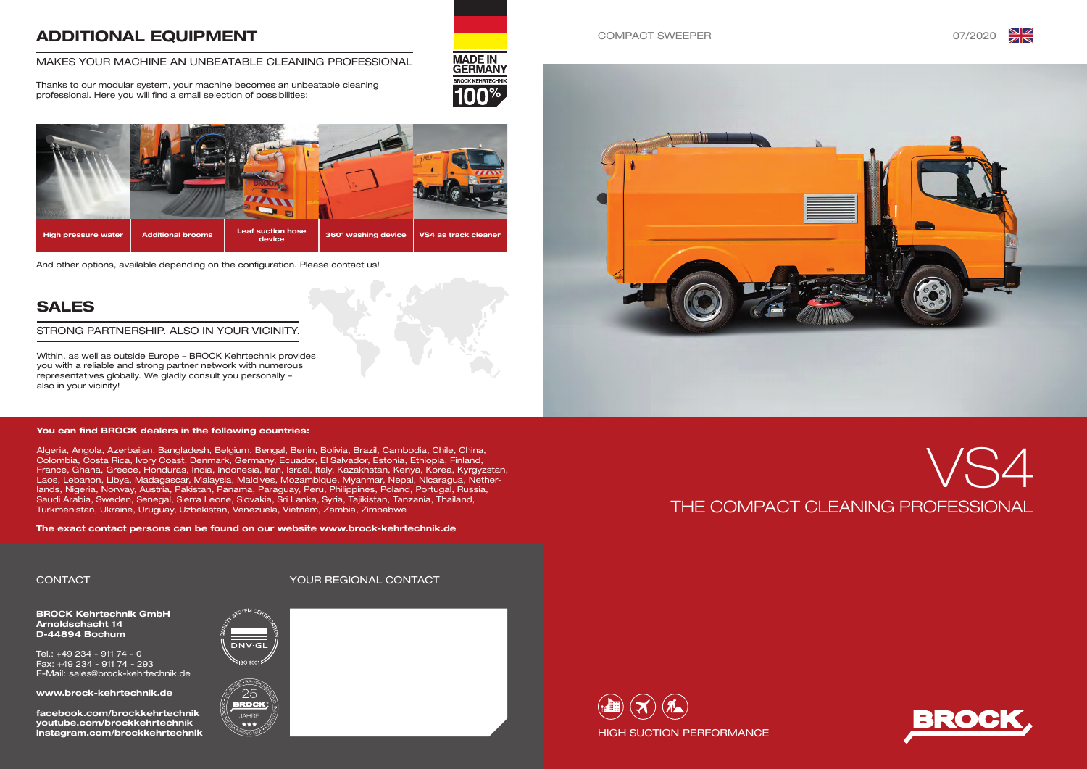







BROCK Kehrtechnik GmbH Arnoldschacht 14 D-44894 Bochum

Tel.: +49 234 - 911 74 - 0 Fax: +49 234 - 911 74 - 293 E-Mail: sales@brock-kehrtechnik.de

www.brock-kehrtechnik.de

facebook.com/brockkehrtechnik youtube.com/brockkehrtechnik instagram.com/brockkehrtechnik





# ADDITIONAL EQUIPMENT

### MAKES YOUR MACHINE AN UNBEATABLE CLEANING PROFESSIONAL



Thanks to our modular system, your machine becomes an unbeatable cleaning professional. Here you will find a small selection of possibilities:



## SALES

Within, as well as outside Europe – BROCK Kehrtechnik provides you with a reliable and strong partner network with numerous representatives globally. We gladly consult you personally – also in your vicinity!

### STRONG PARTNERSHIP. ALSO IN YOUR VICINITY.

CONTACT YOUR REGIONAL CONTACT



And other options, available depending on the configuration. Please contact us!

### You can find BROCK dealers in the following countries:

Algeria, Angola, Azerbaijan, Bangladesh, Belgium, Bengal, Benin, Bolivia, Brazil, Cambodia, Chile, China, Colombia, Costa Rica, Ivory Coast, Denmark, Germany, Ecuador, El Salvador, Estonia, Ethiopia, Finland, France, Ghana, Greece, Honduras, India, Indonesia, Iran, Israel, Italy, Kazakhstan, Kenya, Korea, Kyrgyzstan, Laos, Lebanon, Libya, Madagascar, Malaysia, Maldives, Mozambique, Myanmar, Nepal, Nicaragua, Netherlands, Nigeria, Norway, Austria, Pakistan, Panama, Paraguay, Peru, Philippines, Poland, Portugal, Russia, Saudi Arabia, Sweden, Senegal, Sierra Leone, Slovakia, Sri Lanka, Syria, Tajikistan, Tanzania, Thailand, Turkmenistan, Ukraine, Uruguay, Uzbekistan, Venezuela, Vietnam, Zambia, Zimbabwe

The exact contact persons can be found on our website www.brock-kehrtechnik.de